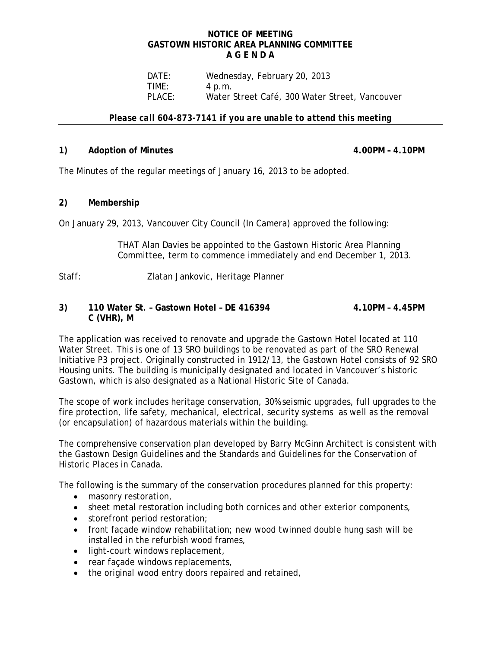### **NOTICE OF MEETING GASTOWN HISTORIC AREA PLANNING COMMITTEE A G E N D A**

DATE: Wednesday, February 20, 2013<br>TIME: 4 p.m. TIME: 4 p.m.<br>PLACE: Water ! Water Street Café, 300 Water Street, Vancouver

### *Please call 604-873-7141 if you are unable to attend this meeting*

# 1) **Adoption of Minutes 4.00PM – 4.10PM**

The Minutes of the regular meetings of January 16, 2013 to be adopted.

# **2) Membership**

On January 29, 2013, Vancouver City Council (In Camera) approved the following:

THAT Alan Davies be appointed to the Gastown Historic Area Planning Committee, term to commence immediately and end December 1, 2013.

Staff:Zlatan Jankovic, Heritage Planner

# **3) 110 Water St. – Gastown Hotel – DE 416394 4.10PM – 4.45PM C (VHR), M**

The application was received to renovate and upgrade the Gastown Hotel located at 110 Water Street. This is one of 13 SRO buildings to be renovated as part of the SRO Renewal Initiative P3 project. Originally constructed in 1912/13, the Gastown Hotel consists of 92 SRO Housing units. The building is municipally designated and located in Vancouver's historic Gastown, which is also designated as a National Historic Site of Canada.

The scope of work includes heritage conservation, 30% seismic upgrades, full upgrades to the fire protection, life safety, mechanical, electrical, security systems as well as the removal (or encapsulation) of hazardous materials within the building.

The comprehensive conservation plan developed by Barry McGinn Architect is consistent with the Gastown Design Guidelines and the Standards and Guidelines for the Conservation of Historic Places in Canada.

The following is the summary of the conservation procedures planned for this property:

- masonry restoration,
- sheet metal restoration including both cornices and other exterior components,
- storefront period restoration;
- front façade window rehabilitation; new wood twinned double hung sash will be installed in the refurbish wood frames,
- light-court windows replacement,
- rear façade windows replacements,
- the original wood entry doors repaired and retained,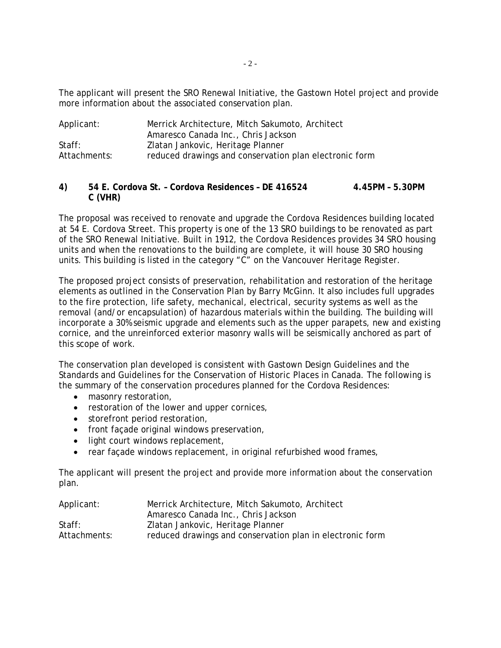The applicant will present the SRO Renewal Initiative, the Gastown Hotel project and provide more information about the associated conservation plan.

| Applicant:   | Merrick Architecture, Mitch Sakumoto, Architect        |
|--------------|--------------------------------------------------------|
|              | Amaresco Canada Inc., Chris Jackson                    |
| Staff:       | Zlatan Jankovic, Heritage Planner                      |
| Attachments: | reduced drawings and conservation plan electronic form |

# **4) 54 E. Cordova St. – Cordova Residences – DE 416524 4.45PM – 5.30PM C (VHR)**

The proposal was received to renovate and upgrade the Cordova Residences building located at 54 E. Cordova Street. This property is one of the 13 SRO buildings to be renovated as part of the SRO Renewal Initiative. Built in 1912, the Cordova Residences provides 34 SRO housing units and when the renovations to the building are complete, it will house 30 SRO housing units. This building is listed in the category "C" on the Vancouver Heritage Register.

The proposed project consists of preservation, rehabilitation and restoration of the heritage elements as outlined in the Conservation Plan by Barry McGinn. It also includes full upgrades to the fire protection, life safety, mechanical, electrical, security systems as well as the removal (and/or encapsulation) of hazardous materials within the building. The building will incorporate a 30% seismic upgrade and elements such as the upper parapets, new and existing cornice, and the unreinforced exterior masonry walls will be seismically anchored as part of this scope of work.

The conservation plan developed is consistent with Gastown Design Guidelines and the Standards and Guidelines for the Conservation of Historic Places in Canada. The following is the summary of the conservation procedures planned for the Cordova Residences:

- masonry restoration,
- restoration of the lower and upper cornices,
- storefront period restoration,
- front façade original windows preservation,
- light court windows replacement,
- rear facade windows replacement, in original refurbished wood frames,

The applicant will present the project and provide more information about the conservation plan.

| Applicant:   | Merrick Architecture, Mitch Sakumoto, Architect           |
|--------------|-----------------------------------------------------------|
|              | Amaresco Canada Inc., Chris Jackson                       |
| Staff:       | Zlatan Jankovic, Heritage Planner                         |
| Attachments: | reduced drawings and conservation plan in electronic form |